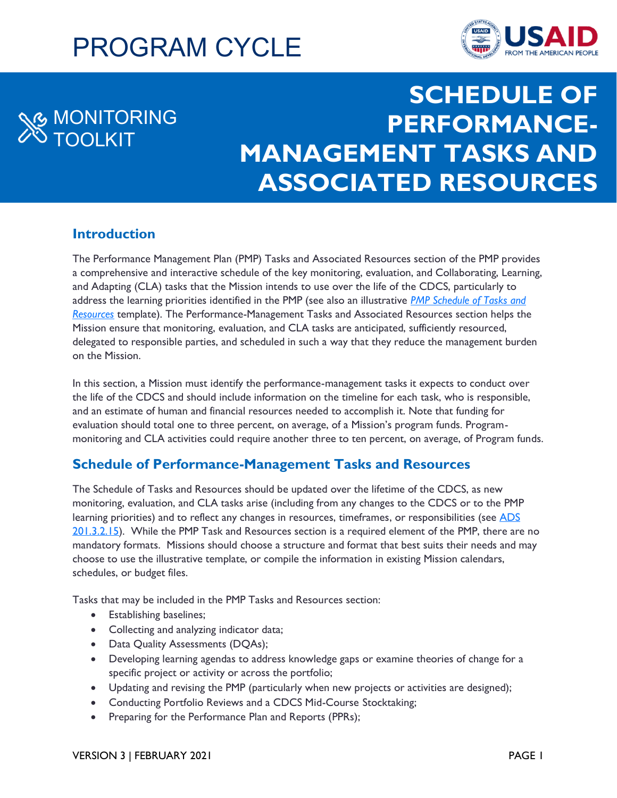# PROGRAM CYCLE



## MONITORING TOOLKIT

## **SCHEDULE OF PERFORMANCE-MANAGEMENT TASKS AND ASSOCIATED RESOURCES**

## **Introduction**

The Performance Management Plan (PMP) Tasks and Associated Resources section of the PMP provides a comprehensive and interactive schedule of the key monitoring, evaluation, and Collaborating, Learning, and Adapting (CLA) tasks that the Mission intends to use over the life of the CDCS, particularly to address the learning priorities identified in the PMP (see also an illustrative *[PMP Schedule of Tasks and](https://usaidlearninglab.org/library/performance-management-plan-pmp-task-schedule-guidance-and-template)  [Resources](https://usaidlearninglab.org/library/performance-management-plan-pmp-task-schedule-guidance-and-template)* template). The Performance-Management Tasks and Associated Resources section helps the Mission ensure that monitoring, evaluation, and CLA tasks are anticipated, sufficiently resourced, delegated to responsible parties, and scheduled in such a way that they reduce the management burden on the Mission.

In this section, a Mission must identify the performance-management tasks it expects to conduct over the life of the CDCS and should include information on the timeline for each task, who is responsible, and an estimate of human and financial resources needed to accomplish it. Note that funding for evaluation should total one to three percent, on average, of a Mission's program funds. Programmonitoring and CLA activities could require another three to ten percent, on average, of Program funds.

## **Schedule of Performance-Management Tasks and Resources**

The Schedule of Tasks and Resources should be updated over the lifetime of the CDCS, as new monitoring, evaluation, and CLA tasks arise (including from any changes to the CDCS or to the PMP learning priorities) and to reflect any changes in resources, timeframes, or responsibilities (see ADS [201.3.2.15\)](https://www.usaid.gov/sites/default/files/documents/201.pdf). While the PMP Task and Resources section is a required element of the PMP, there are no mandatory formats. Missions should choose a structure and format that best suits their needs and may choose to use the illustrative template, or compile the information in existing Mission calendars, schedules, or budget files.

Tasks that may be included in the PMP Tasks and Resources section:

- Establishing baselines;
- Collecting and analyzing indicator data;
- Data Quality Assessments (DQAs);
- Developing learning agendas to address knowledge gaps or examine theories of change for a specific project or activity or across the portfolio;
- Updating and revising the PMP (particularly when new projects or activities are designed);
- Conducting Portfolio Reviews and a CDCS Mid-Course Stocktaking;
- Preparing for the Performance Plan and Reports (PPRs);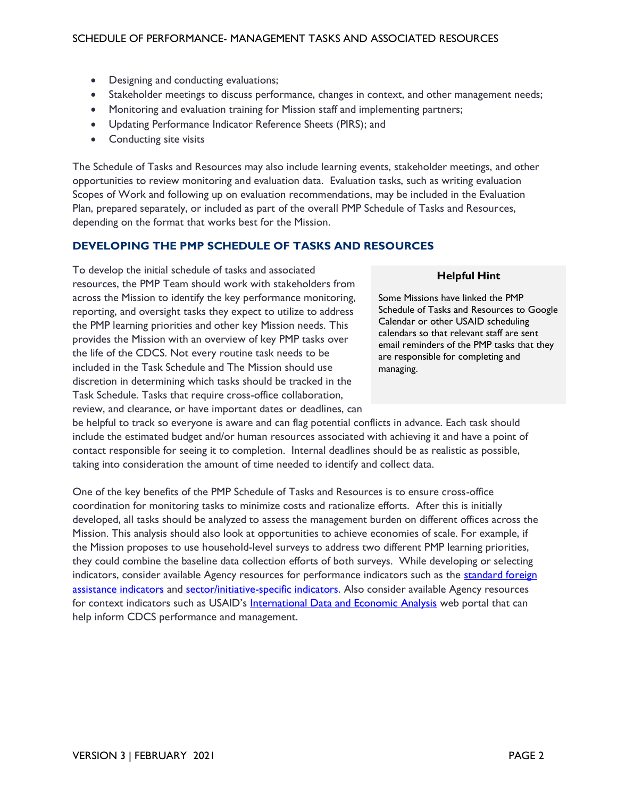- Designing and conducting evaluations;
- Stakeholder meetings to discuss performance, changes in context, and other management needs;
- Monitoring and evaluation training for Mission staff and implementing partners;
- Updating Performance Indicator Reference Sheets (PIRS); and
- Conducting site visits

The Schedule of Tasks and Resources may also include learning events, stakeholder meetings, and other opportunities to review monitoring and evaluation data. Evaluation tasks, such as writing evaluation Scopes of Work and following up on evaluation recommendations, may be included in the Evaluation Plan, prepared separately, or included as part of the overall PMP Schedule of Tasks and Resources, depending on the format that works best for the Mission.

### **DEVELOPING THE PMP SCHEDULE OF TASKS AND RESOURCES**

To develop the initial schedule of tasks and associated resources, the PMP Team should work with stakeholders from across the Mission to identify the key performance monitoring, reporting, and oversight tasks they expect to utilize to address the PMP learning priorities and other key Mission needs. This provides the Mission with an overview of key PMP tasks over the life of the CDCS. Not every routine task needs to be included in the Task Schedule and The Mission should use discretion in determining which tasks should be tracked in the Task Schedule. Tasks that require cross-office collaboration, review, and clearance, or have important dates or deadlines, can

#### **Helpful Hint**

Some Missions have linked the PMP Schedule of Tasks and Resources to Google Calendar or other USAID scheduling calendars so that relevant staff are sent email reminders of the PMP tasks that they are responsible for completing and managing.

be helpful to track so everyone is aware and can flag potential conflicts in advance. Each task should include the estimated budget and/or human resources associated with achieving it and have a point of contact responsible for seeing it to completion. Internal deadlines should be as realistic as possible, taking into consideration the amount of time needed to identify and collect data.

One of the key benefits of the PMP Schedule of Tasks and Resources is to ensure cross-office coordination for monitoring tasks to minimize costs and rationalize efforts. After this is initially developed, all tasks should be analyzed to assess the management burden on different offices across the Mission. This analysis should also look at opportunities to achieve economies of scale. For example, if the Mission proposes to use household-level surveys to address two different PMP learning priorities, they could combine the baseline data collection efforts of both surveys. While developing or selecting indicators, consider available Agency resources for performance indicators such as the standard foreign [assistance indicators](https://usaidlearninglab.org/library/standard-foreign-assistance-indicators) an[d sector/initiative-specific indicators.](https://usaidlearninglab.org/sites/default/files/resource/files/cleared_-_mt_-_indicator_resources_r.pdf) Also consider available Agency resources for context indicators such as USAID's [International Data and Economic Analysis](https://idea.usaid.gov/) web portal that can help inform CDCS performance and management.